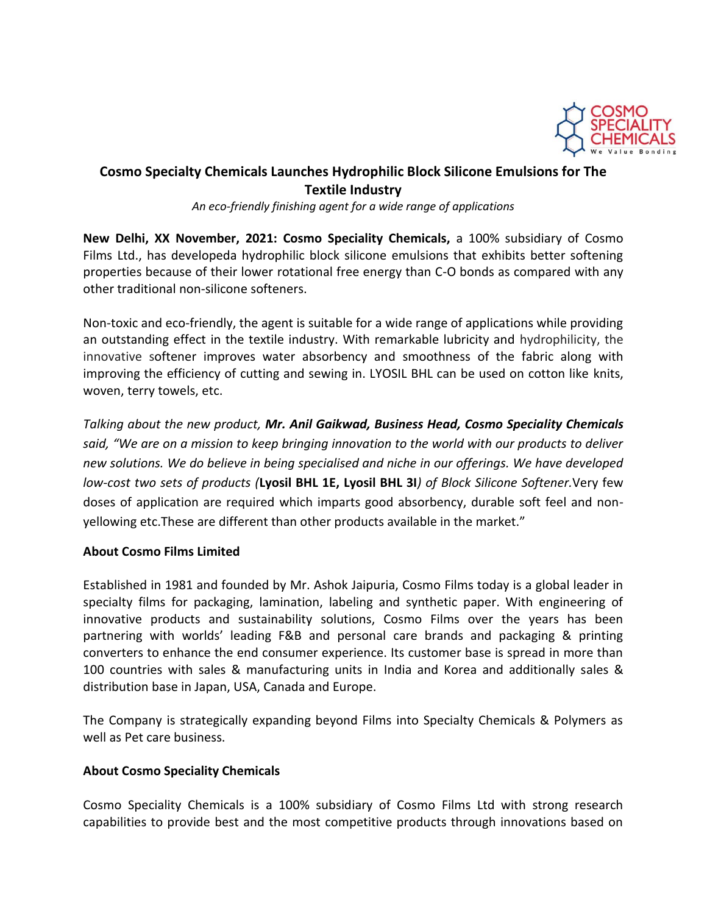

## **Cosmo Specialty Chemicals Launches Hydrophilic Block Silicone Emulsions for The Textile Industry**

*An eco-friendly finishing agent for a wide range of applications*

**New Delhi, XX November, 2021: Cosmo Speciality Chemicals,** a 100% subsidiary of Cosmo Films Ltd., has developeda hydrophilic block silicone emulsions that exhibits better softening properties because of their lower rotational free energy than C-O bonds as compared with any other traditional non-silicone softeners.

Non-toxic and eco-friendly, the agent is suitable for a wide range of applications while providing an outstanding effect in the textile industry. With remarkable lubricity and hydrophilicity, the innovative softener improves water absorbency and smoothness of the fabric along with improving the efficiency of cutting and sewing in. LYOSIL BHL can be used on cotton like knits, woven, terry towels, etc.

*Talking about the new product, Mr. Anil Gaikwad, Business Head, Cosmo Speciality Chemicals said, "We are on a mission to keep bringing innovation to the world with our products to deliver new solutions. We do believe in being specialised and niche in our offerings. We have developed low-cost two sets of products (***Lyosil BHL 1E, Lyosil BHL 3I***) of Block Silicone Softener.*Very few doses of application are required which imparts good absorbency, durable soft feel and nonyellowing etc.These are different than other products available in the market."

## **About Cosmo Films Limited**

Established in 1981 and founded by Mr. Ashok Jaipuria, Cosmo Films today is a global leader in specialty films for packaging, lamination, labeling and synthetic paper. With engineering of innovative products and sustainability solutions, Cosmo Films over the years has been partnering with worlds' leading F&B and personal care brands and packaging & printing converters to enhance the end consumer experience. Its customer base is spread in more than 100 countries with sales & manufacturing units in India and Korea and additionally sales & distribution base in Japan, USA, Canada and Europe.

The Company is strategically expanding beyond Films into Specialty Chemicals & Polymers as well as Pet care business.

## **About Cosmo Speciality Chemicals**

Cosmo Speciality Chemicals is a 100% subsidiary of Cosmo Films Ltd with strong research capabilities to provide best and the most competitive products through innovations based on